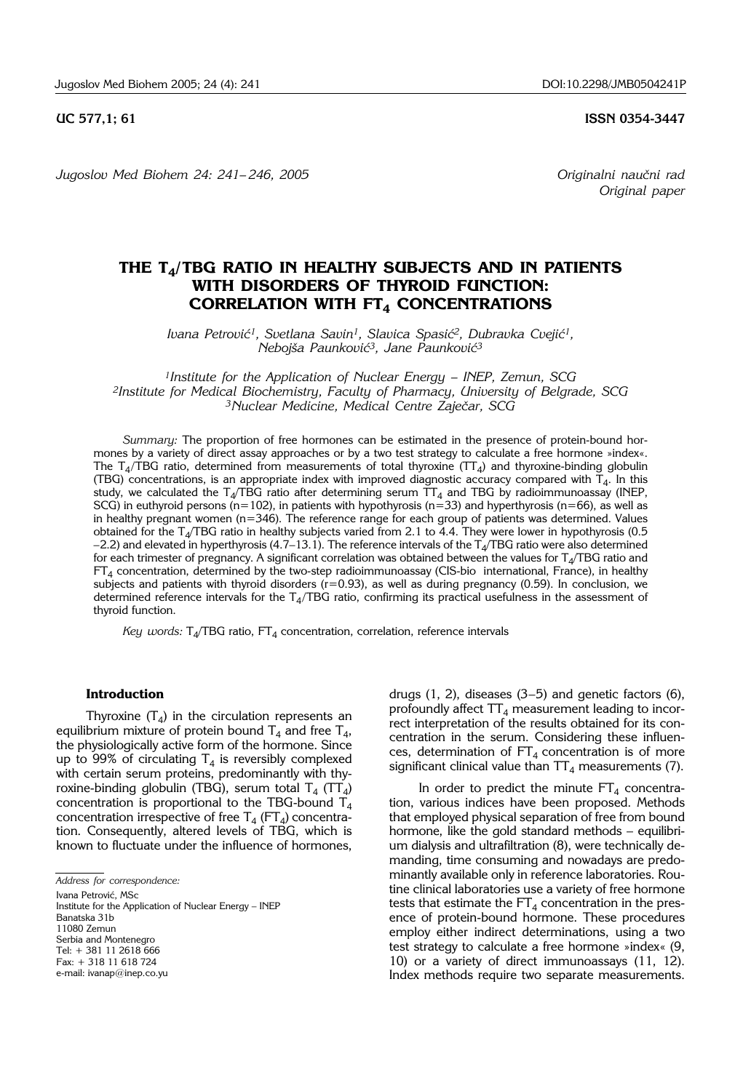**UC 577,1; 61 ISSN 0354-3447**

*Jugoslov Med Biohem 24: 241–246, 2005* Constantino and *Originalni naučni rad Originalni naučni rad Dinginalni naučni rad Dinginalni naučni rad Dinginalni naučni rad Dinginalni naučni rad Dinginalni naučni rad* 

*Original paper*

# **THE T4/TBG RATIO IN HEALTHY SUBJECTS AND IN PATIENTS WITH DISORDERS OF THYROID FUNCTION: CORRELATION WITH FT<sub>4</sub> CONCENTRATIONS**

*Ivana Petrović<sup>1</sup>, Svetlana Savin<sup>1</sup>, Slavica Spasić<sup>2</sup>, Dubravka Cvejić<sup>1</sup>, Neboj{a Paunkovi}3, Jane Paunkovi}3*

*1Institute for the Application of Nuclear Energy - INEP, Zemun, SCG 2Institute for Medical Biochemistry, Faculty of Pharmacy, University of Belgrade, SCG* <sup>3</sup>Nuclear Medicine, Medical Centre Zaječar, SCG

*Summary:* The proportion of free hormones can be estimated in the presence of protein-bound hormones by a variety of direct assay approaches or by a two test strategy to calculate a free hormone »index«. The T<sub>4</sub>/TBG ratio, determined from measurements of total thyroxine (TT<sub>4</sub>) and thyroxine-binding globulin (TBG) concentrations, is an appropriate index with improved diagnostic accuracy compared with  $T_4$ . In this study, we calculated the T $_{\rm 4}$ /TBG ratio after determining serum TT $_{\rm 4}$  and TBG by radioimmunoassay (INEP, SCG) in euthyroid persons (n=102), in patients with hypothyrosis (n=33) and hyperthyrosis (n=66), as well as in healthy pregnant women (n=346). The reference range for each group of patients was determined. Values obtained for the T<sub>4</sub>/TBG ratio in healthy subjects varied from 2.1 to 4.4. They were lower in hypothyrosis (0.5  $-2.2$ ) and elevated in hyperthyrosis (4.7–13.1). The reference intervals of the T<sub>4</sub>/TBG ratio were also determined for each trimester of pregnancy. A significant correlation was obtained between the values for  $T<sub>4</sub>/TBG$  ratio and FT4 concentration, determined by the two-step radioimmunoassay (CIS-bio international, France), in healthy subjects and patients with thyroid disorders  $(r=0.93)$ , as well as during pregnancy (0.59). In conclusion, we determined reference intervals for the  $T<sub>4</sub>/TBG$  ratio, confirming its practical usefulness in the assessment of thyroid function.

*Key words:*  $T_4$ /TBG ratio,  $FT_4$  concentration, correlation, reference intervals

#### **Introduction**

Thyroxine  $(T_4)$  in the circulation represents an equilibrium mixture of protein bound  $T_4$  and free  $T_4$ , the physiologically active form of the hormone. Since up to 99% of circulating  $T_4$  is reversibly complexed with certain serum proteins, predominantly with thyroxine-binding globulin (TBG), serum total  $T_4$  (TT<sub>4</sub>) concentration is proportional to the TBG-bound  $T_4$ concentration irrespective of free  $T_4$  (FT<sub>4</sub>) concentration. Consequently, altered levels of TBG, which is known to fluctuate under the influence of hormones,

Ivana Petrović, MSc Institute for the Application of Nuclear Energy – INEP Banatska 31b 11080 Zemun Serbia and Montenegro Tel: + 381 11 2618 666 Fax: + 318 11 618 724 e-mail: ivanap@inep.co.yu

drugs  $(1, 2)$ , diseases  $(3-5)$  and genetic factors  $(6)$ , profoundly affect  $TT_4$  measurement leading to incorrect interpretation of the results obtained for its concentration in the serum. Considering these influences, determination of  $FT<sub>4</sub>$  concentration is of more significant clinical value than  $TT_4$  measurements (7).

In order to predict the minute  $FT<sub>4</sub>$  concentration, various indices have been proposed. Methods that employed physical separation of free from bound hormone, like the gold standard methods – equilibrium dialysis and ultrafiltration (8), were technically demanding, time consuming and nowadays are predominantly available only in reference laboratories. Routine clinical laboratories use a variety of free hormone tests that estimate the  $FT_4$  concentration in the presence of protein-bound hormone. These procedures employ either indirect determinations, using a two test strategy to calculate a free hormone »index« (9, 10) or a variety of direct immunoassays (11, 12). Index methods require two separate measurements.

*Address for correspondence:*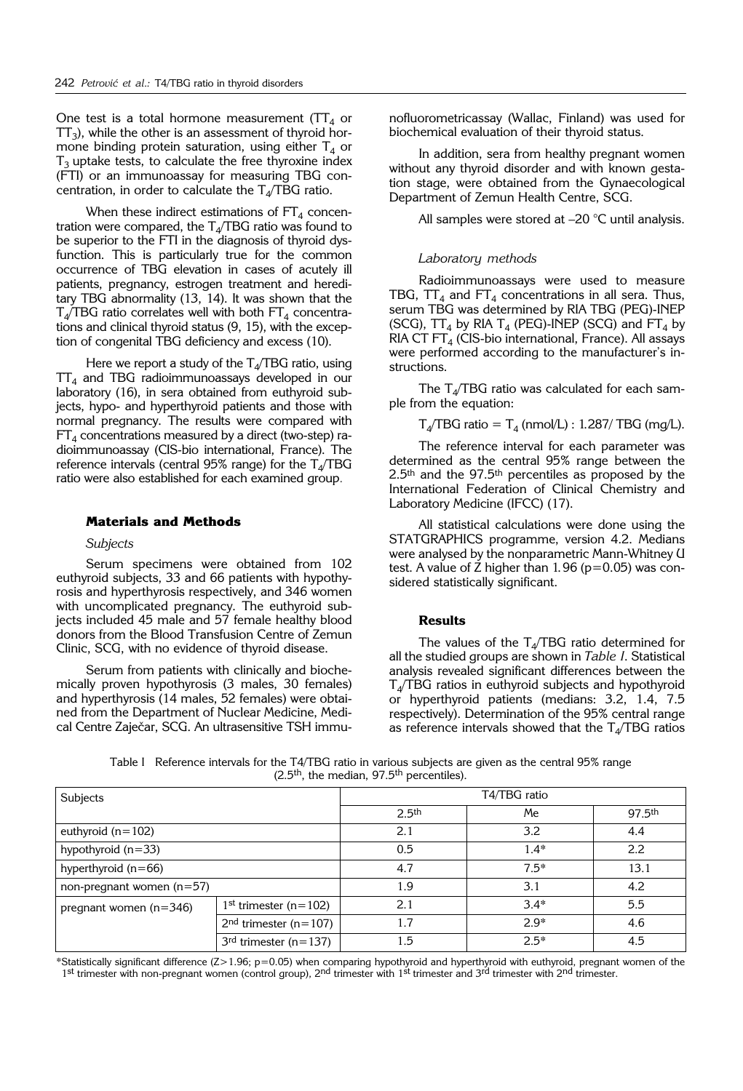One test is a total hormone measurement ( $TT<sub>4</sub>$  or  $TT_3$ ), while the other is an assessment of thyroid hormone binding protein saturation, using either  $T_4$  or  $T<sub>3</sub>$  uptake tests, to calculate the free thyroxine index (FTI) or an immunoassay for measuring TBG concentration, in order to calculate the  $T<sub>4</sub>/TBG$  ratio.

When these indirect estimations of  $FT_4$  concentration were compared, the  $T<sub>4</sub>/TBG$  ratio was found to be superior to the FTI in the diagnosis of thyroid dysfunction. This is particularly true for the common occurrence of TBG elevation in cases of acutely ill patients, pregnancy, estrogen treatment and hereditary TBG abnormality (13, 14). It was shown that the  $T_A/TBG$  ratio correlates well with both  $FT_4$  concentrations and clinical thyroid status (9, 15), with the exception of congenital TBG deficiency and excess (10).

Here we report a study of the  $T<sub>4</sub>/TBG$  ratio, using  $TT_4$  and TBG radioimmunoassays developed in our laboratory (16), in sera obtained from euthyroid subjects, hypo- and hyperthyroid patients and those with normal pregnancy. The results were compared with  $FT<sub>4</sub>$  concentrations measured by a direct (two-step) radioimmunoassay (CIS-bio international, France). The reference intervals (central  $95\%$  range) for the T<sub>4</sub>/TBG ratio were also established for each examined group.

# **Materials and Methods**

#### *Subjects*

Serum specimens were obtained from 102 euthyroid subjects, 33 and 66 patients with hypothyrosis and hyperthyrosis respectively, and 346 women with uncomplicated pregnancy. The euthyroid subjects included 45 male and 57 female healthy blood donors from the Blood Transfusion Centre of Zemun Clinic, SCG, with no evidence of thyroid disease.

Serum from patients with clinically and biochemically proven hypothyrosis (3 males, 30 females) and hyperthyrosis (14 males, 52 females) were obtained from the Department of Nuclear Medicine, Medical Centre Zaječar, SCG. An ultrasensitive TSH immunofluorometricassay (Wallac, Finland) was used for biochemical evaluation of their thyroid status.

In addition, sera from healthy pregnant women without any thyroid disorder and with known gestation stage, were obtained from the Gynaecological Department of Zemun Health Centre, SCG.

All samples were stored at -20 °C until analysis.

# *Laboratory methods*

Radioimmunoassays were used to measure TBG,  $TT_4$  and  $FT_4$  concentrations in all sera. Thus, serum TBG was determined by RIA TBG (PEG)-INEP (SCG),  $TT_4$  by RIA  $T_4$  (PEG)-INEP (SCG) and  $FT_4$  by RIA CT FT<sub>4</sub> (CIS-bio international, France). All assays were performed according to the manufacturer's instructions.

The  $T_4$ /TBG ratio was calculated for each sample from the equation:

 $T_4/TBG$  ratio =  $T_4$  (nmol/L) : 1.287/ TBG (mg/L).

The reference interval for each parameter was determined as the central 95% range between the  $2.5<sup>th</sup>$  and the 97.5<sup>th</sup> percentiles as proposed by the International Federation of Clinical Chemistry and Laboratory Medicine (IFCC) (17).

All statistical calculations were done using the STATGRAPHICS programme, version 4.2. Medians were analysed by the nonparametric Mann-Whitney U test. A value of Z higher than  $1.96$  ( $p=0.05$ ) was considered statistically significant.

### **Results**

The values of the  $T_{4}/TBG$  ratio determined for all the studied groups are shown in *Table I*. Statistical analysis revealed significant differences between the  $T<sub>4</sub>/TBG$  ratios in euthyroid subjects and hypothyroid or hyperthyroid patients (medians: 3.2, 1.4, 7.5 respectively). Determination of the 95% central range as reference intervals showed that the  $T<sub>4</sub>/TBG$  ratios

Table I Reference intervals for the T4/TBG ratio in various subjects are given as the central 95% range (2.5th, the median, 97.5th percentiles).

| Subjects                    |                                       | T4/TBG ratio      |        |                    |
|-----------------------------|---------------------------------------|-------------------|--------|--------------------|
|                             |                                       | 2.5 <sup>th</sup> | Me     | 97.5 <sup>th</sup> |
| euthyroid $(n=102)$         |                                       | 2.1               | 3.2    | 4.4                |
| hypothyroid $(n=33)$        |                                       | 0.5               | $1.4*$ | 2.2                |
| hyperthyroid $(n=66)$       |                                       | 4.7               | $7.5*$ | 13.1               |
| non-pregnant women $(n=57)$ |                                       | 1.9               | 3.1    | 4.2                |
| pregnant women $(n=346)$    | 1 <sup>st</sup> trimester ( $n=102$ ) | 2.1               | $3.4*$ | 5.5                |
|                             | $2nd$ trimester (n=107)               | 1.7               | $2.9*$ | 4.6                |
|                             | $3rd$ trimester (n=137)               | 1.5               | $2.5*$ | 4.5                |

\*Statistically significant difference (Z>1.96; p=0.05) when comparing hypothyroid and hyperthyroid with euthyroid, pregnant women of the 1st trimester with non-pregnant women (control group), 2<sup>nd</sup> trimester with 1<sup>st</sup> trimester and 3<sup>rd</sup> trimester with 2<sup>nd</sup> trimester.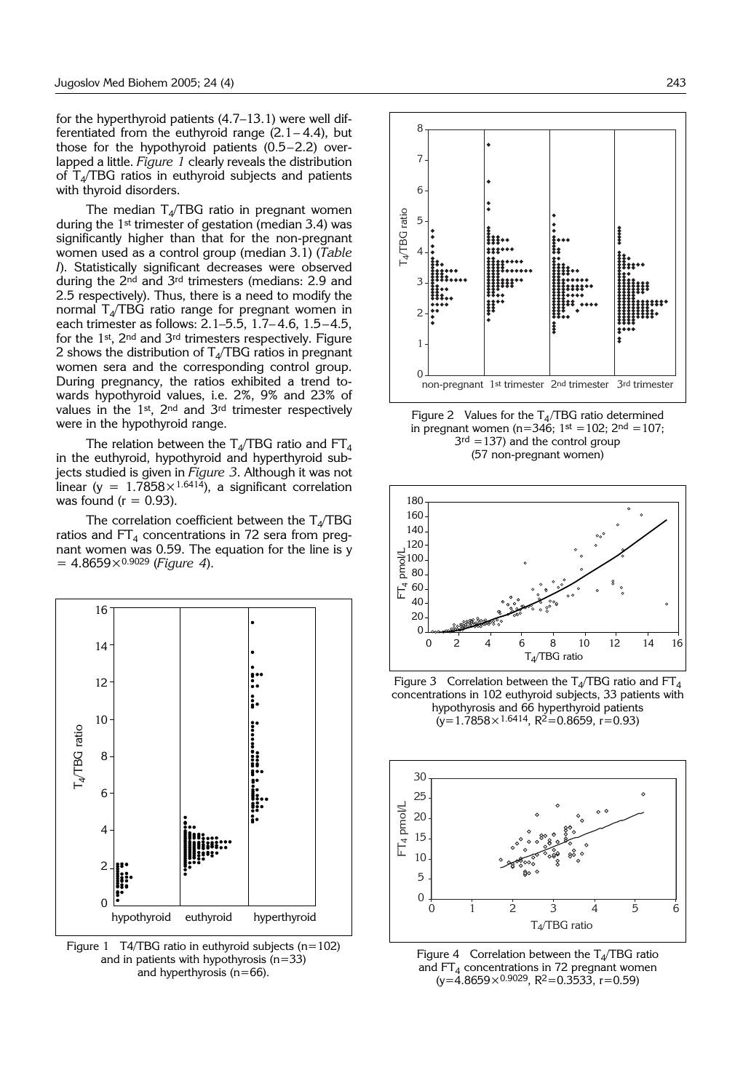for the hyperthyroid patients (4.7–13.1) were well differentiated from the euthyroid range  $(2.1-4.4)$ , but those for the hypothyroid patients (0.5–2.2) overlapped a little. *Figure 1* clearly reveals the distribution of  $T<sub>4</sub>/TBG$  ratios in euthyroid subjects and patients with thyroid disorders.

The median  $T_A/TBG$  ratio in pregnant women during the 1st trimester of gestation (median 3.4) was significantly higher than that for the non-pregnant women used as a control group (median 3.1) (*Table I*). Statistically significant decreases were observed during the 2nd and 3rd trimesters (medians: 2.9 and 2.5 respectively). Thus, there is a need to modify the normal  $T<sub>4</sub>/TBG$  ratio range for pregnant women in each trimester as follows: 2.1–5.5, 1.7– 4.6, 1.5–4.5, for the 1st, 2nd and 3rd trimesters respectively. Figure 2 shows the distribution of  $T<sub>4</sub>/TBG$  ratios in pregnant women sera and the corresponding control group. During pregnancy, the ratios exhibited a trend towards hypothyroid values, i.e. 2%, 9% and 23% of values in the  $1^{st}$ ,  $2^{nd}$  and  $3^{rd}$  trimester respectively were in the hypothyroid range.

The relation between the T<sub>4</sub>/TBG ratio and  $FT_4$ in the euthyroid, hypothyroid and hyperthyroid subjects studied is given in *Figure 3*. Although it was not linear (y =  $1.7858 \times 1.6414$ ), a significant correlation was found ( $r = 0.93$ ).

The correlation coefficient between the  $T_4/TBG$ ratios and  $FT_4$  concentrations in 72 sera from pregnant women was 0.59. The equation for the line is y = 4.8659×0.9029 (*Figure 4*).



Figure 1 T4/TBG ratio in euthyroid subjects ( $n=102$ ) and in patients with hypothyrosis (n=33) and hyperthyrosis (n=66).



Figure 2 Values for the  $T_A/TBG$  ratio determined in pregnant women (n=346;  $1^{st} = 102$ ;  $2^{nd} = 107$ ;  $3<sup>rd</sup> = 137$ ) and the control group (57 non-pregnant women)



Figure 3 Correlation between the T<sub>4</sub>/TBG ratio and FT<sub>4</sub> concentrations in 102 euthyroid subjects, 33 patients with hypothyrosis and 66 hyperthyroid patients  $(y=1.7858\times1.6414, R^{2}=0.8659, r=0.93)$ 



Figure 4 Correlation between the  $T<sub>4</sub>/TBG$  ratio and  $FT<sub>4</sub>$  concentrations in 72 pregnant women  $(y=4.8659\times0.9029, R^2=0.3533, r=0.59)$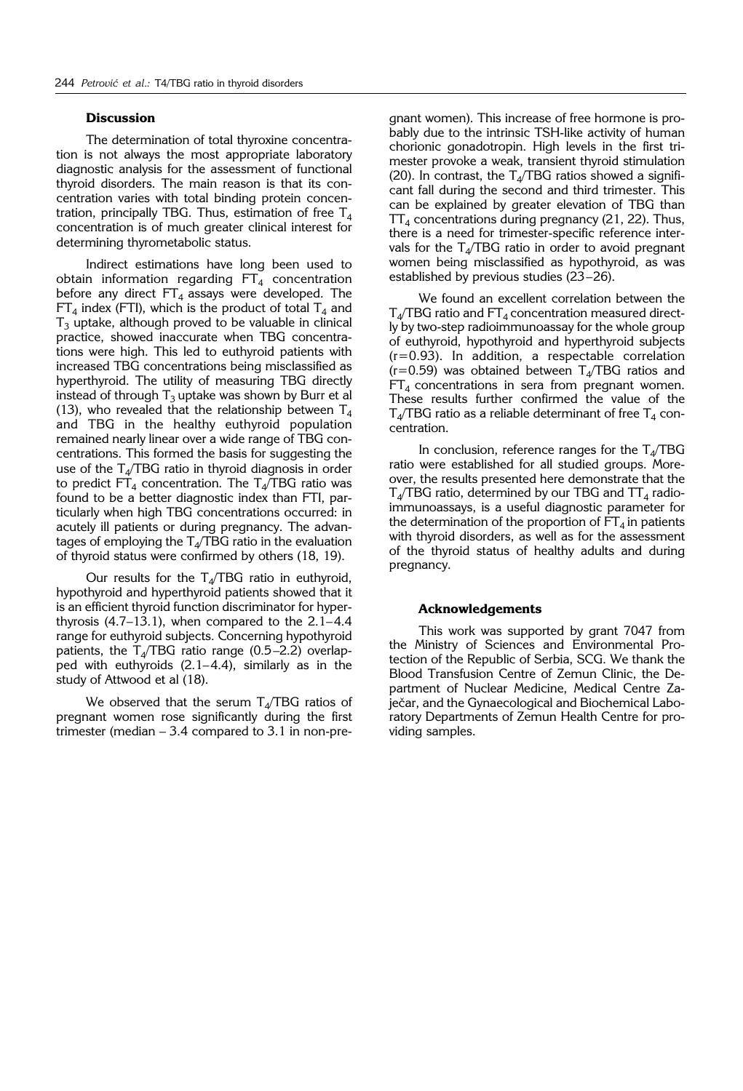# **Discussion**

The determination of total thyroxine concentration is not always the most appropriate laboratory diagnostic analysis for the assessment of functional thyroid disorders. The main reason is that its concentration varies with total binding protein concentration, principally TBG. Thus, estimation of free  $T_4$ concentration is of much greater clinical interest for determining thyrometabolic status.

Indirect estimations have long been used to obtain information regarding  $FT<sub>4</sub>$  concentration before any direct  $FT_4$  assays were developed. The  $FT<sub>4</sub>$  index (FTI), which is the product of total  $T<sub>4</sub>$  and  $T<sub>3</sub>$  uptake, although proved to be valuable in clinical practice, showed inaccurate when TBG concentrations were high. This led to euthyroid patients with increased TBG concentrations being misclassified as hyperthyroid. The utility of measuring TBG directly instead of through  $T_3$  uptake was shown by Burr et al (13), who revealed that the relationship between  $T_A$ and TBG in the healthy euthyroid population remained nearly linear over a wide range of TBG concentrations. This formed the basis for suggesting the use of the  $T<sub>4</sub>/TBG$  ratio in thyroid diagnosis in order to predict  $FT_4$  concentration. The  $T_4/TBG$  ratio was found to be a better diagnostic index than FTI, particularly when high TBG concentrations occurred: in acutely ill patients or during pregnancy. The advantages of employing the  $T_{4}/TBG$  ratio in the evaluation of thyroid status were confirmed by others (18, 19).

Our results for the  $T_{4}/TBG$  ratio in euthyroid, hypothyroid and hyperthyroid patients showed that it is an efficient thyroid function discriminator for hyperthyrosis  $(4.7-13.1)$ , when compared to the  $2.1-4.4$ range for euthyroid subjects. Concerning hypothyroid patients, the  $T<sub>4</sub>/TBG$  ratio range (0.5–2.2) overlapped with euthyroids (2.1–4.4), similarly as in the study of Attwood et al (18).

We observed that the serum  $T_{4}/TBG$  ratios of pregnant women rose significantly during the first trimester (median – 3.4 compared to 3.1 in non-pregnant women). This increase of free hormone is probably due to the intrinsic TSH-like activity of human chorionic gonadotropin. High levels in the first trimester provoke a weak, transient thyroid stimulation (20). In contrast, the  $T<sub>4</sub>/TBG$  ratios showed a significant fall during the second and third trimester. This can be explained by greater elevation of TBG than  $TT<sub>4</sub>$  concentrations during pregnancy (21, 22). Thus, there is a need for trimester-specific reference intervals for the  $T_{4}/TBG$  ratio in order to avoid pregnant women being misclassified as hypothyroid, as was established by previous studies (23–26).

We found an excellent correlation between the  $T<sub>4</sub>/TBG$  ratio and  $FT<sub>4</sub>$  concentration measured directly by two-step radioimmunoassay for the whole group of euthyroid, hypothyroid and hyperthyroid subjects (r=0.93). In addition, a respectable correlation  $(r=0.59)$  was obtained between T<sub>4</sub>/TBG ratios and  $FT<sub>4</sub>$  concentrations in sera from pregnant women. These results further confirmed the value of the  $T_4$ /TBG ratio as a reliable determinant of free  $T_4$  concentration.

In conclusion, reference ranges for the  $T_{4}/TBG$ ratio were established for all studied groups. Moreover, the results presented here demonstrate that the  $T_{4}/TBG$  ratio, determined by our TBG and  $TT_{4}$  radioimmunoassays, is a useful diagnostic parameter for the determination of the proportion of  $FT_4$  in patients with thyroid disorders, as well as for the assessment of the thyroid status of healthy adults and during pregnancy.

# **Acknowledgements**

This work was supported by grant 7047 from the Ministry of Sciences and Environmental Protection of the Republic of Serbia, SCG. We thank the Blood Transfusion Centre of Zemun Clinic, the Department of Nuclear Medicine, Medical Centre Zaječar, and the Gynaecological and Biochemical Laboratory Departments of Zemun Health Centre for providing samples.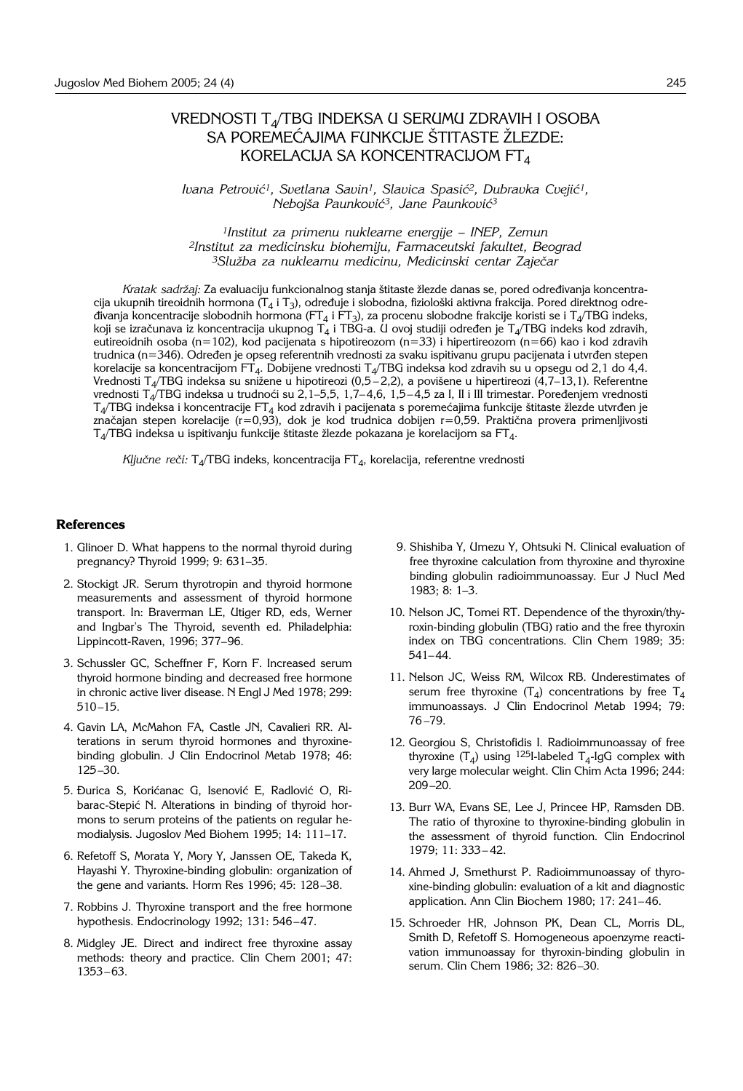# VREDNOSTI T4/TBG INDEKSA U SERUMU ZDRAVIH I OSOBA SA POREMEĆAJIMA FUNKCIJE ŠTITASTE ŽLEZDE: KORELACIJA SA KONCENTRACIJOM FT4

Ivana Petrović<sup>1</sup>, Svetlana Savin<sup>1</sup>, Slavica Spasić<sup>2</sup>, Dubravka Cvejić<sup>1</sup>, *Neboj{a Paunkovi}3, Jane Paunkovi}3*

*1Institut za primenu nuklearne energije - INEP, Zemun 2Institut za medicinsku biohemiju, Farmaceutski fakultet, Beograd 3Slu`ba za nuklearnu medicinu, Medicinski centar Zaje~ar* 

Kratak sadržaj: Za evaluaciju funkcionalnog stanja štitaste žlezde danas se, pored određivanja koncentracija ukupnih tireoidnih hormona (T<sub>4</sub> i T<sub>3</sub>), određuje i slobodna, fiziološki aktivna frakcija. Pored direktnog odredivanja koncentracije slobodnih hormona (FT<sub>4</sub> i FT<sub>3</sub>), za procenu slobodne frakcije koristi se i T<sub>4</sub>/TBG indeks, koji se izračunava iz koncentracija ukupnog  $T_4$  i TBG-a. U ovoj studiji određen je T<sub>4</sub>/TBG indeks kod zdravih, eutireoidnih osoba (n=102), kod pacijenata s hipotireozom (n=33) i hipertireozom (n=66) kao i kod zdravih trudnica (n=346). Određen je opseg referentnih vrednosti za svaku ispitivanu grupu pacijenata i utvrđen stepen korelacije sa koncentracijom FT<sub>4</sub>. Dobijene vrednosti T<sub>4</sub>/TBG indeksa kod zdravih su u opsegu od 2,1 do 4,4. Vrednosti T<sub>4</sub>/TBG indeksa su snižene u hipotireozi (0,5-2,2), a povišene u hipertireozi (4,7-13,1). Referentne vrednosti T<sub>4</sub>/TBG indeksa u trudnoći su 2,1–5,5, 1,7–4,6, 1,5–4,5 za I, II i III trimestar. Poređenjem vrednosti  $T_4$ /TBG indeksa i koncentracije FT<sub>4</sub> kod zdravih i pacijenata s poremećajima funkcije štitaste žlezde utvrđen je značajan stepen korelacije (r=0,93), dok je kod trudnica dobijen r=0,59. Praktična provera primenljivosti  $T_4/TBG$  indeksa u ispitivanju funkcije štitaste žlezde pokazana je korelacijom sa FT<sub>4</sub>.

*Ključne reči:* T<sub>4</sub>/TBG indeks, koncentracija FT<sub>4</sub>, korelacija, referentne vrednosti

### **References**

- 1. Glinoer D. What happens to the normal thyroid during pregnancy? Thyroid 1999; 9: 631–35.
- 2. Stockigt JR. Serum thyrotropin and thyroid hormone measurements and assessment of thyroid hormone transport. In: Braverman LE, Utiger RD, eds, Werner and Ingbar's The Thyroid, seventh ed. Philadelphia: Lippincott-Raven, 1996; 377–96.
- 3. Schussler GC, Scheffner F, Korn F. Increased serum thyroid hormone binding and decreased free hormone in chronic active liver disease. N Engl J Med 1978; 299: 510–15.
- 4. Gavin LA, McMahon FA, Castle JN, Cavalieri RR. Alterations in serum thyroid hormones and thyroxinebinding globulin. J Clin Endocrinol Metab 1978; 46: 125–30.
- 5. Durica S, Korićanac G, Isenović E, Radlović O, Ribarac-Stepić N. Alterations in binding of thyroid hormons to serum proteins of the patients on regular hemodialysis. Jugoslov Med Biohem 1995; 14: 111–17.
- 6. Refetoff S, Morata Y, Mory Y, Janssen OE, Takeda K, Hayashi Y. Thyroxine-binding globulin: organization of the gene and variants. Horm Res 1996; 45: 128–38.
- 7. Robbins J. Thyroxine transport and the free hormone hypothesis. Endocrinology 1992; 131: 546–47.
- 8. Midgley JE. Direct and indirect free thyroxine assay methods: theory and practice. Clin Chem 2001; 47: 1353–63.
- 9. Shishiba Y, Umezu Y, Ohtsuki N. Clinical evaluation of free thyroxine calculation from thyroxine and thyroxine binding globulin radioimmunoassay. Eur J Nucl Med 1983; 8: 1–3.
- 10. Nelson JC, Tomei RT. Dependence of the thyroxin/thyroxin-binding globulin (TBG) ratio and the free thyroxin index on TBG concentrations. Clin Chem 1989; 35: 541–44.
- 11. Nelson JC, Weiss RM, Wilcox RB. Underestimates of serum free thyroxine  $(T_4)$  concentrations by free  $T_4$ immunoassays. J Clin Endocrinol Metab 1994; 79: 76 –79.
- 12. Georgiou S, Christofidis I. Radioimmunoassay of free thyroxine  $(T_4)$  using <sup>125</sup>I-labeled  $T_4$ -IgG complex with very large molecular weight. Clin Chim Acta 1996; 244: 209–20.
- 13. Burr WA, Evans SE, Lee J, Princee HP, Ramsden DB. The ratio of thyroxine to thyroxine-binding globulin in the assessment of thyroid function. Clin Endocrinol 1979; 11: 333– 42.
- 14. Ahmed J, Smethurst P. Radioimmunoassay of thyroxine-binding globulin: evaluation of a kit and diagnostic application. Ann Clin Biochem 1980; 17: 241–46.
- 15. Schroeder HR, Johnson PK, Dean CL, Morris DL, Smith D, Refetoff S. Homogeneous apoenzyme reactivation immunoassay for thyroxin-binding globulin in serum. Clin Chem 1986; 32: 826–30.